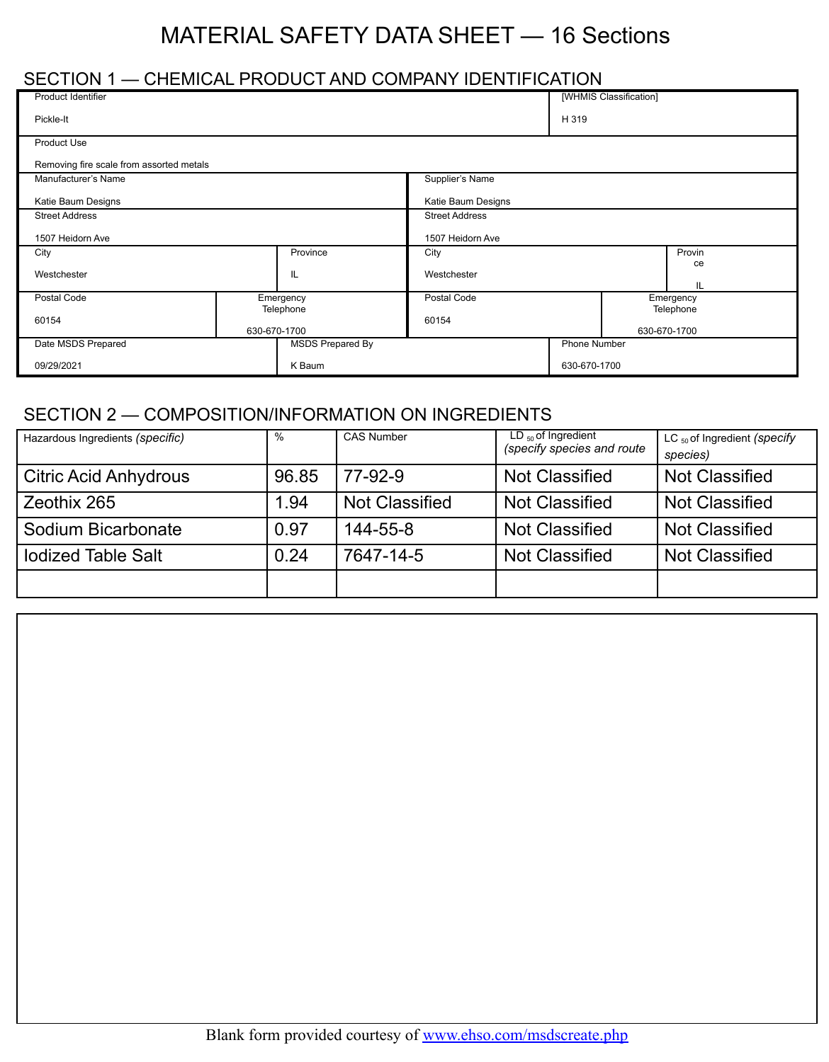# MATERIAL SAFETY DATA SHEET — 16 Sections

## SECTION 1 — CHEMICAL PRODUCT AND COMPANY IDENTIFICATION

| <b>Product Identifier</b>                |                           |                       |                                    |  | [WHMIS Classification] |  |
|------------------------------------------|---------------------------|-----------------------|------------------------------------|--|------------------------|--|
| Pickle-It                                |                           |                       | H 319                              |  |                        |  |
| <b>Product Use</b>                       |                           |                       |                                    |  |                        |  |
| Removing fire scale from assorted metals |                           |                       |                                    |  |                        |  |
| Manufacturer's Name                      |                           |                       | Supplier's Name                    |  |                        |  |
| Katie Baum Designs                       |                           |                       | Katie Baum Designs                 |  |                        |  |
| <b>Street Address</b>                    |                           | <b>Street Address</b> |                                    |  |                        |  |
| 1507 Heidorn Ave                         |                           | 1507 Heidorn Ave      |                                    |  |                        |  |
| City                                     |                           | Province              | Provin<br>City                     |  |                        |  |
| IL<br>Westchester                        |                           |                       | Westchester<br>IL                  |  | ce                     |  |
| Postal Code<br>Emergency                 |                           | Postal Code           |                                    |  | Emergency              |  |
| 60154                                    | Telephone<br>630-670-1700 |                       | Telephone<br>60154<br>630-670-1700 |  |                        |  |
| Date MSDS Prepared                       | <b>MSDS Prepared By</b>   |                       | Phone Number                       |  |                        |  |
| K Baum<br>09/29/2021                     |                           | 630-670-1700          |                                    |  |                        |  |

## SECTION 2 — COMPOSITION/INFORMATION ON INGREDIENTS

| Hazardous Ingredients (specific) | %     | <b>CAS Number</b>     | $LD_{50}$ of Ingredient<br>(specify species and route | LC $_{50}$ of Ingredient (specify<br>species) |
|----------------------------------|-------|-----------------------|-------------------------------------------------------|-----------------------------------------------|
| <b>Citric Acid Anhydrous</b>     | 96.85 | 77-92-9               | <b>Not Classified</b>                                 | <b>Not Classified</b>                         |
| Zeothix 265                      | 1.94  | <b>Not Classified</b> | <b>Not Classified</b>                                 | <b>Not Classified</b>                         |
| Sodium Bicarbonate               | 0.97  | 144-55-8              | <b>Not Classified</b>                                 | <b>Not Classified</b>                         |
| <b>Iodized Table Salt</b>        | 0.24  | 7647-14-5             | <b>Not Classified</b>                                 | <b>Not Classified</b>                         |
|                                  |       |                       |                                                       |                                               |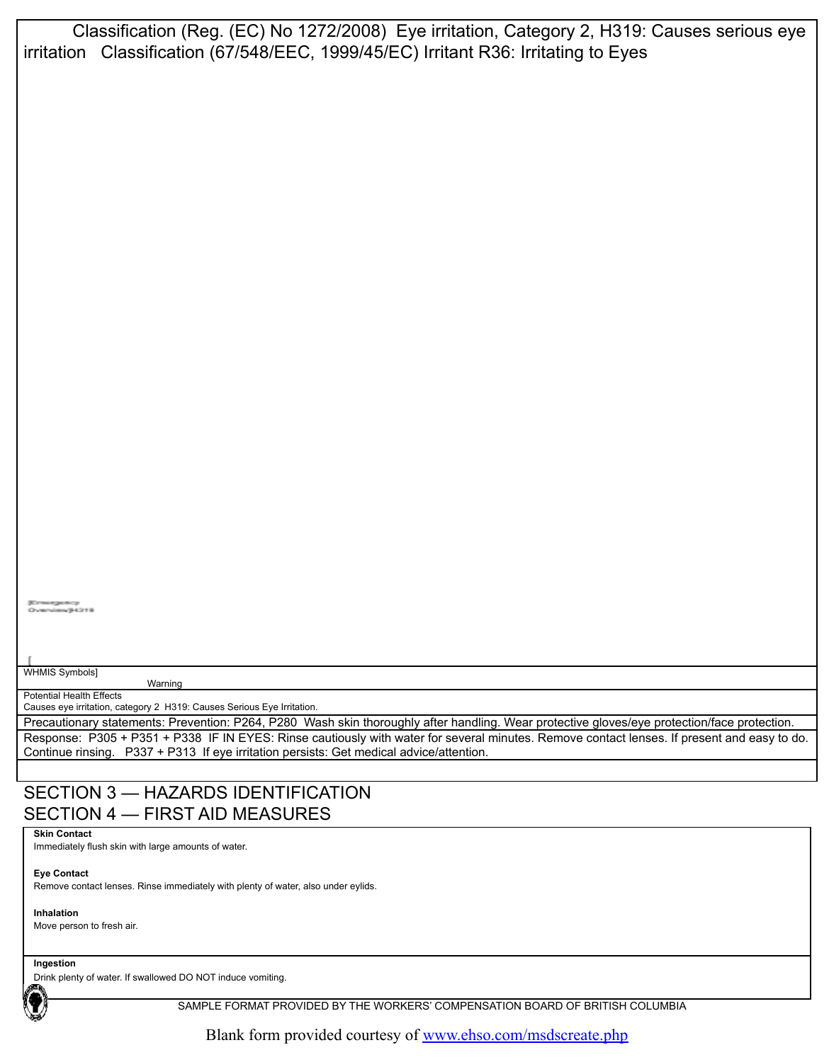Classification (Reg. (EC) No 1272/2008) Eye irritation, Category 2, H319: Causes serious eye irritation Classification (67/548/EEC, 1999/45/EC) Irritant R36: Irritating to Eyes

rgemay<br>Sawiji 431 B

WHMIS Symbols]

Warning Potential Health Effects

Causes eye irritation, category 2 H319: Causes Serious Eye Irritation.

Precautionary statements: Prevention: P264, P280 Wash skin thoroughly after handling. Wear protective gloves/eye protection/face protection. Response: P305 + P351 + P338 IF IN EYES: Rinse cautiously with water for several minutes. Remove contact lenses. If present and easy to do. Continue rinsing. P337 + P313 If eye irritation persists: Get medical advice/attention.

#### SECTION 3 — HAZARDS IDENTIFICATION SECTION 4 — FIRST AID MEASURES

**Skin Contact**

Immediately flush skin with large amounts of water.

**Eye Contact**

Remove contact lenses. Rinse immediately with plenty of water, also under eylids.

**Inhalation** Move person to fresh air.

**Ingestion**

Drink plenty of water. If swallowed DO NOT induce vomiting.

SAMPLE FORMAT PROVIDED BY THE WORKERS' COMPENSATION BOARD OF BRITISH COLUMBIA

Blank form provided courtesy of [www.ehso.com/msdscreate.php](http://www.ehso.com/msdscreate.php)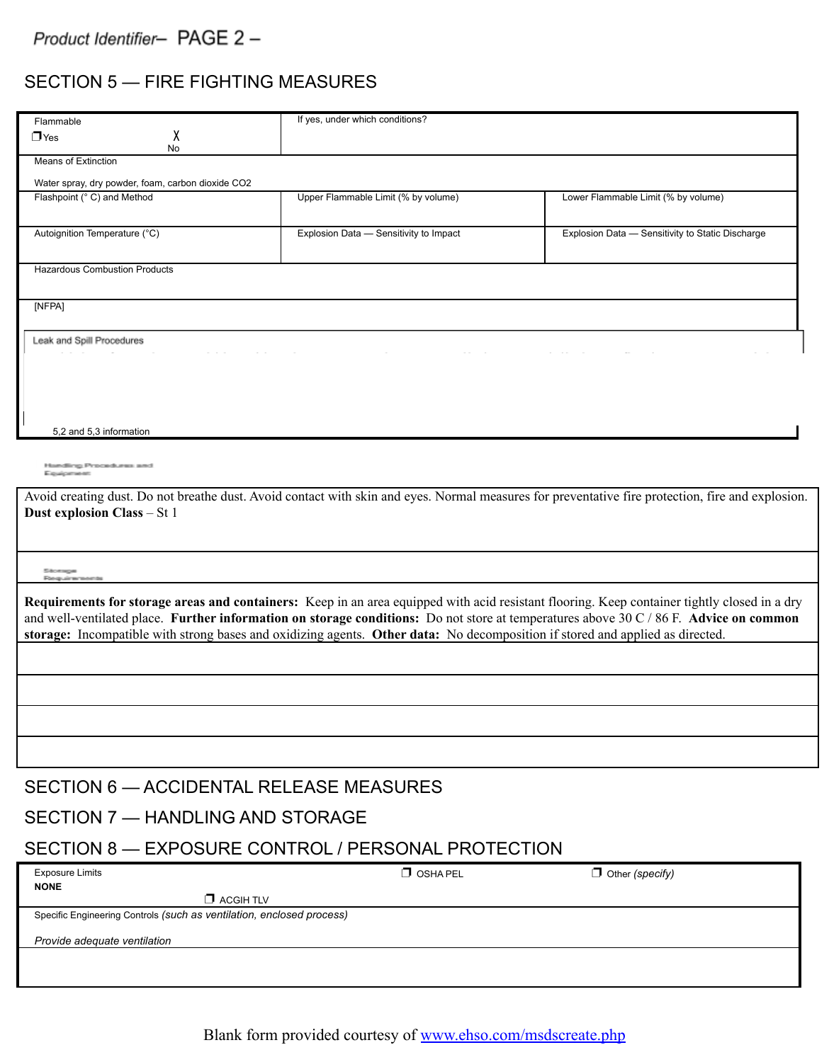## SECTION 5 — FIRE FIGHTING MEASURES

| Flammable                                                                                                                                                                        | If yes, under which conditions?        |                                                                                                                                                                                                                                                                                                           |  |  |
|----------------------------------------------------------------------------------------------------------------------------------------------------------------------------------|----------------------------------------|-----------------------------------------------------------------------------------------------------------------------------------------------------------------------------------------------------------------------------------------------------------------------------------------------------------|--|--|
| χ<br>$\Box$ Yes                                                                                                                                                                  |                                        |                                                                                                                                                                                                                                                                                                           |  |  |
| No<br><b>Means of Extinction</b>                                                                                                                                                 |                                        |                                                                                                                                                                                                                                                                                                           |  |  |
| Water spray, dry powder, foam, carbon dioxide CO2                                                                                                                                |                                        |                                                                                                                                                                                                                                                                                                           |  |  |
| Flashpoint (°C) and Method                                                                                                                                                       | Upper Flammable Limit (% by volume)    | Lower Flammable Limit (% by volume)                                                                                                                                                                                                                                                                       |  |  |
| Autoignition Temperature (°C)                                                                                                                                                    | Explosion Data - Sensitivity to Impact | Explosion Data - Sensitivity to Static Discharge                                                                                                                                                                                                                                                          |  |  |
| <b>Hazardous Combustion Products</b>                                                                                                                                             |                                        |                                                                                                                                                                                                                                                                                                           |  |  |
| [NFPA]                                                                                                                                                                           |                                        |                                                                                                                                                                                                                                                                                                           |  |  |
| Leak and Spill Procedures                                                                                                                                                        |                                        |                                                                                                                                                                                                                                                                                                           |  |  |
|                                                                                                                                                                                  |                                        |                                                                                                                                                                                                                                                                                                           |  |  |
| 5,2 and 5,3 information                                                                                                                                                          |                                        |                                                                                                                                                                                                                                                                                                           |  |  |
| Hamdling Procedures and<br>Espaigamento                                                                                                                                          |                                        |                                                                                                                                                                                                                                                                                                           |  |  |
| Avoid creating dust. Do not breathe dust. Avoid contact with skin and eyes. Normal measures for preventative fire protection, fire and explosion.<br>Dust explosion Class - St 1 |                                        |                                                                                                                                                                                                                                                                                                           |  |  |
|                                                                                                                                                                                  |                                        |                                                                                                                                                                                                                                                                                                           |  |  |
| <b>School second</b><br>Education also was week-                                                                                                                                 |                                        |                                                                                                                                                                                                                                                                                                           |  |  |
| storage: Incompatible with strong bases and oxidizing agents. Other data: No decomposition if stored and applied as directed.                                                    |                                        | Requirements for storage areas and containers: Keep in an area equipped with acid resistant flooring. Keep container tightly closed in a dry<br>and well-ventilated place. Further information on storage conditions: Do not store at temperatures above $30 \text{ C} / 86 \text{ F}$ . Advice on common |  |  |
|                                                                                                                                                                                  |                                        |                                                                                                                                                                                                                                                                                                           |  |  |
|                                                                                                                                                                                  |                                        |                                                                                                                                                                                                                                                                                                           |  |  |
|                                                                                                                                                                                  |                                        |                                                                                                                                                                                                                                                                                                           |  |  |
|                                                                                                                                                                                  |                                        |                                                                                                                                                                                                                                                                                                           |  |  |
| SECTION 6 - ACCIDENTAL RELEASE MEASURES                                                                                                                                          |                                        |                                                                                                                                                                                                                                                                                                           |  |  |
| SECTION 7 - HANDLING AND STORAGE                                                                                                                                                 |                                        |                                                                                                                                                                                                                                                                                                           |  |  |
| SECTION 8 - EXPOSURE CONTROL / PERSONAL PROTECTION                                                                                                                               |                                        |                                                                                                                                                                                                                                                                                                           |  |  |
| <b>Exposure Limits</b><br><b>NONE</b><br>$\Box$ ACGIH TLV                                                                                                                        | $\Box$ OSHA PEL                        | $\Box$ Other (specify)                                                                                                                                                                                                                                                                                    |  |  |
| Specific Engineering Controls (such as ventilation, enclosed process)                                                                                                            |                                        |                                                                                                                                                                                                                                                                                                           |  |  |
| Provide adequate ventilation                                                                                                                                                     |                                        |                                                                                                                                                                                                                                                                                                           |  |  |
|                                                                                                                                                                                  |                                        |                                                                                                                                                                                                                                                                                                           |  |  |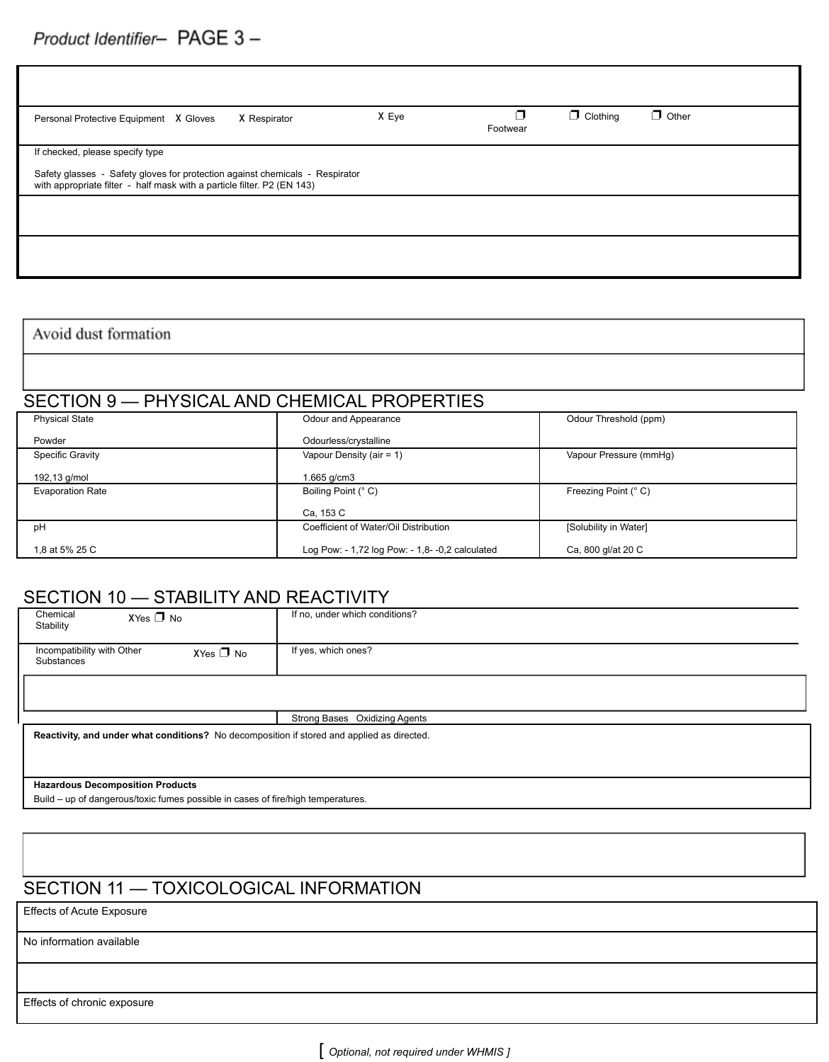Г

| X Respirator<br>Personal Protective Equipment X Gloves                                                                                                  | X Eye | ┑<br>Footwear | $\Box$ Clothing | $\Box$ Other |
|---------------------------------------------------------------------------------------------------------------------------------------------------------|-------|---------------|-----------------|--------------|
| If checked, please specify type                                                                                                                         |       |               |                 |              |
| Safety glasses - Safety gloves for protection against chemicals - Respirator<br>with appropriate filter - half mask with a particle filter. P2 (EN 143) |       |               |                 |              |
|                                                                                                                                                         |       |               |                 |              |
|                                                                                                                                                         |       |               |                 |              |

T

Avoid dust formation

## SECTION 9 — PHYSICAL AND CHEMICAL PROPERTIES

| <b>Physical State</b>   | Odour and Appearance                            | Odour Threshold (ppm)  |
|-------------------------|-------------------------------------------------|------------------------|
| Powder                  | Odourless/crystalline                           |                        |
| Specific Gravity        | Vapour Density (air = $1$ )                     | Vapour Pressure (mmHq) |
| 192,13 g/mol            | 1.665 g/cm3                                     |                        |
| <b>Evaporation Rate</b> | Boiling Point (° C)                             | Freezing Point (° C)   |
|                         | Ca, 153 C                                       |                        |
| pH                      | Coefficient of Water/Oil Distribution           | [Solubility in Water]  |
| 1.8 at 5% 25 C          | Log Pow: - 1,72 log Pow: - 1,8- -0,2 calculated | Ca, 800 gl/at 20 C     |

## SECTION 10 - STABILITY AND REACTIVITY

| Chemical<br>$XYes \nightharpoonup No$<br>Stability                                         | If no, under which conditions? |  |  |
|--------------------------------------------------------------------------------------------|--------------------------------|--|--|
| Incompatibility with Other<br>$XYes \nightharpoonup No$<br>Substances                      | If yes, which ones?            |  |  |
|                                                                                            |                                |  |  |
|                                                                                            | Strong Bases Oxidizing Agents  |  |  |
| Reactivity, and under what conditions? No decomposition if stored and applied as directed. |                                |  |  |
| <b>Hazardous Decomposition Products</b>                                                    |                                |  |  |

Build – up of dangerous/toxic fumes possible in cases of fire/high temperatures.

# SECTION 11 — TOXICOLOGICAL INFORMATION

Effects of Acute Exposure

No information available

Effects of chronic exposure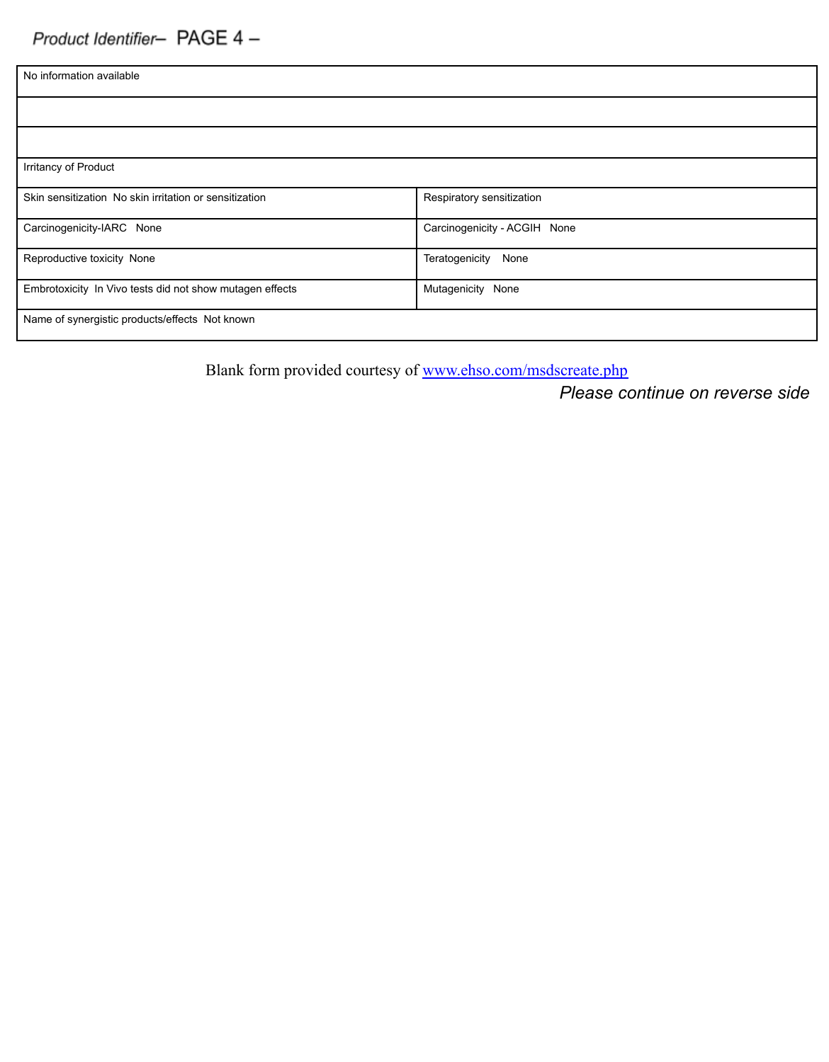| No information available                                 |                              |
|----------------------------------------------------------|------------------------------|
|                                                          |                              |
|                                                          |                              |
| Irritancy of Product                                     |                              |
| Skin sensitization No skin irritation or sensitization   | Respiratory sensitization    |
| Carcinogenicity-IARC None                                | Carcinogenicity - ACGIH None |
| Reproductive toxicity None                               | Teratogenicity<br>None       |
| Embrotoxicity In Vivo tests did not show mutagen effects | Mutagenicity None            |
| Name of synergistic products/effects Not known           |                              |

Blank form provided courtesy of [www.ehso.com/msdscreate.php](http://www.ehso.com/msdscreate.php)

*Please continue on reverse side*